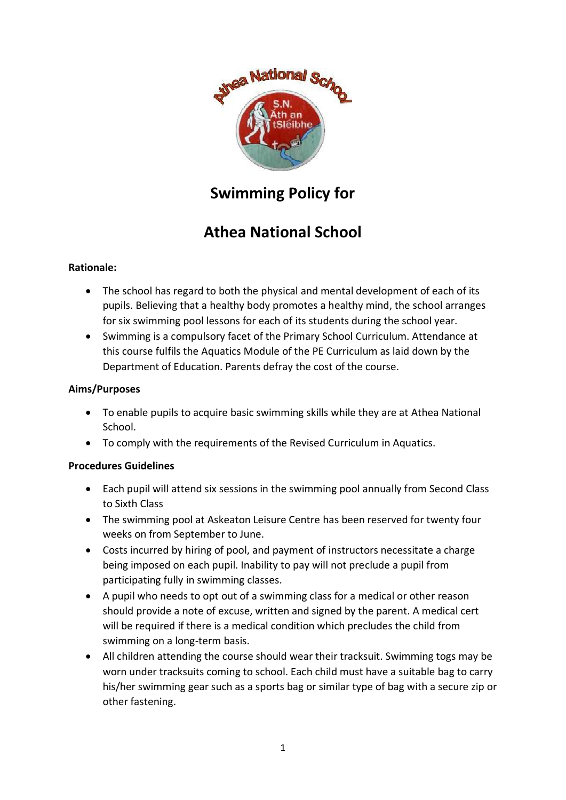

# **Swimming Policy for**

# **Athea National School**

## **Rationale:**

- The school has regard to both the physical and mental development of each of its pupils. Believing that a healthy body promotes a healthy mind, the school arranges for six swimming pool lessons for each of its students during the school year.
- Swimming is a compulsory facet of the Primary School Curriculum. Attendance at this course fulfils the Aquatics Module of the PE Curriculum as laid down by the Department of Education. Parents defray the cost of the course.

#### **Aims/Purposes**

- To enable pupils to acquire basic swimming skills while they are at Athea National School.
- To comply with the requirements of the Revised Curriculum in Aquatics.

#### **Procedures Guidelines**

- Each pupil will attend six sessions in the swimming pool annually from Second Class to Sixth Class
- The swimming pool at Askeaton Leisure Centre has been reserved for twenty four weeks on from September to June.
- Costs incurred by hiring of pool, and payment of instructors necessitate a charge being imposed on each pupil. Inability to pay will not preclude a pupil from participating fully in swimming classes.
- A pupil who needs to opt out of a swimming class for a medical or other reason should provide a note of excuse, written and signed by the parent. A medical cert will be required if there is a medical condition which precludes the child from swimming on a long-term basis.
- All children attending the course should wear their tracksuit. Swimming togs may be worn under tracksuits coming to school. Each child must have a suitable bag to carry his/her swimming gear such as a sports bag or similar type of bag with a secure zip or other fastening.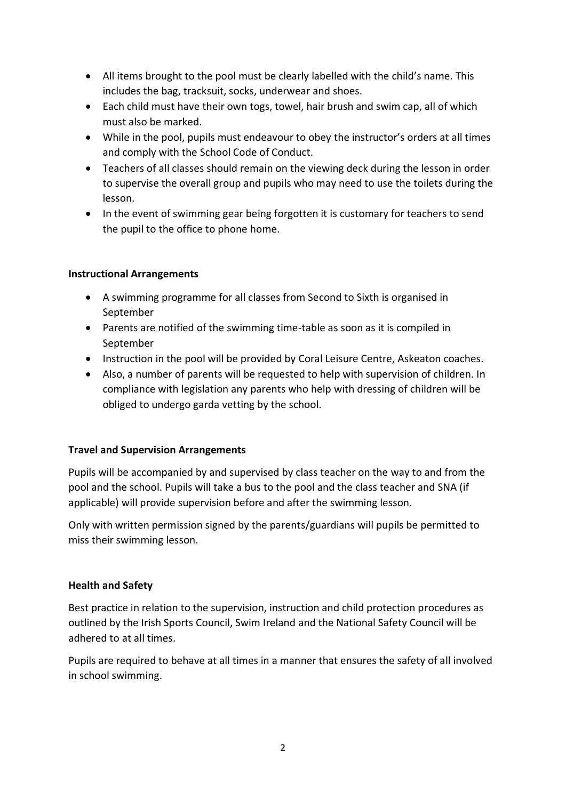- All items brought to the pool must be clearly labelled with the child's name. This includes the bag, tracksuit, socks, underwear and shoes.
- Each child must have their own togs, towel, hair brush and swim cap, all of which must also be marked.
- While in the pool, pupils must endeavour to obey the instructor's orders at all times and comply with the School Code of Conduct.
- Teachers of all classes should remain on the viewing deck during the lesson in order to supervise the overall group and pupils who may need to use the toilets during the lesson.
- In the event of swimming gear being forgotten it is customary for teachers to send the pupil to the office to phone home.

## **Instructional Arrangements**

- A swimming programme for all classes from Second to Sixth is organised in September
- Parents are notified of the swimming time-table as soon as it is compiled in September
- Instruction in the pool will be provided by Coral Leisure Centre, Askeaton coaches.
- Also, a number of parents will be requested to help with supervision of children. In compliance with legislation any parents who help with dressing of children will be obliged to undergo garda vetting by the school.

#### **Travel and Supervision Arrangements**

Pupils will be accompanied by and supervised by class teacher on the way to and from the pool and the school. Pupils will take a bus to the pool and the class teacher and SNA (if applicable) will provide supervision before and after the swimming lesson.

Only with written permission signed by the parents/guardians will pupils be permitted to miss their swimming lesson.

#### **Health and Safety**

Best practice in relation to the supervision, instruction and child protection procedures as outlined by the Irish Sports Council, Swim Ireland and the National Safety Council will be adhered to at all times.

Pupils are required to behave at all times in a manner that ensures the safety of all involved in school swimming.